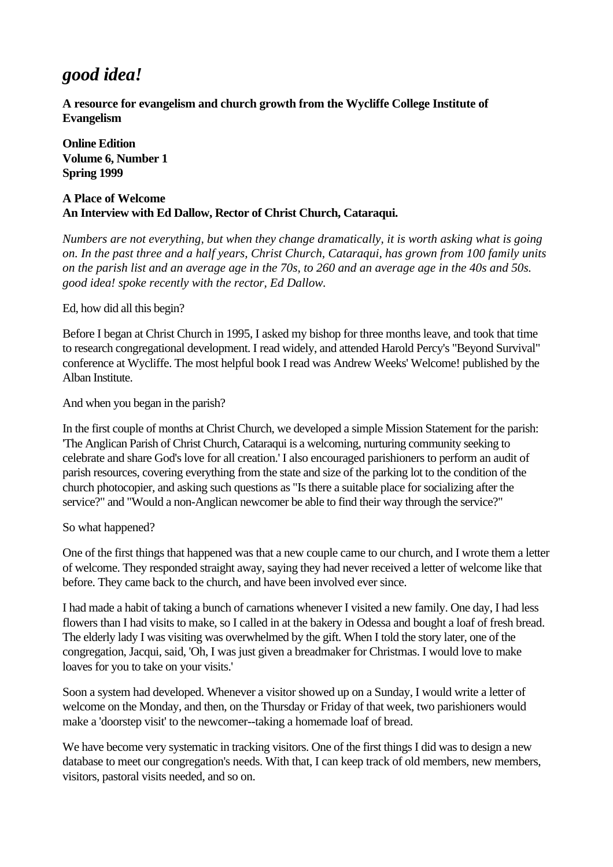# *good idea!*

**A resource for evangelism and church growth from the Wycliffe College Institute of Evangelism**

**Online Edition Volume 6, Number 1 Spring 1999**

## **A Place of Welcome An Interview with Ed Dallow, Rector of Christ Church, Cataraqui.**

*Numbers are not everything, but when they change dramatically, it is worth asking what is going on. In the past three and a half years, Christ Church, Cataraqui, has grown from 100 family units on the parish list and an average age in the 70s, to 260 and an average age in the 40s and 50s. good idea! spoke recently with the rector, Ed Dallow.*

Ed, how did all this begin?

Before I began at Christ Church in 1995, I asked my bishop for three months leave, and took that time to research congregational development. I read widely, and attended Harold Percy's "Beyond Survival" conference at Wycliffe. The most helpful book I read was Andrew Weeks' Welcome! published by the Alban Institute.

And when you began in the parish?

In the first couple of months at Christ Church, we developed a simple Mission Statement for the parish: 'The Anglican Parish of Christ Church, Cataraqui is a welcoming, nurturing community seeking to celebrate and share God's love for all creation.' I also encouraged parishioners to perform an audit of parish resources, covering everything from the state and size of the parking lot to the condition of the church photocopier, and asking such questions as "Is there a suitable place for socializing after the service?" and "Would a non-Anglican newcomer be able to find their way through the service?"

So what happened?

One of the first things that happened was that a new couple came to our church, and I wrote them a letter of welcome. They responded straight away, saying they had never received a letter of welcome like that before. They came back to the church, and have been involved ever since.

I had made a habit of taking a bunch of carnations whenever I visited a new family. One day, I had less flowers than I had visits to make, so I called in at the bakery in Odessa and bought a loaf of fresh bread. The elderly lady I was visiting was overwhelmed by the gift. When I told the story later, one of the congregation, Jacqui, said, 'Oh, I was just given a breadmaker for Christmas. I would love to make loaves for you to take on your visits.'

Soon a system had developed. Whenever a visitor showed up on a Sunday, I would write a letter of welcome on the Monday, and then, on the Thursday or Friday of that week, two parishioners would make a 'doorstep visit' to the newcomer--taking a homemade loaf of bread.

We have become very systematic in tracking visitors. One of the first things I did was to design a new database to meet our congregation's needs. With that, I can keep track of old members, new members, visitors, pastoral visits needed, and so on.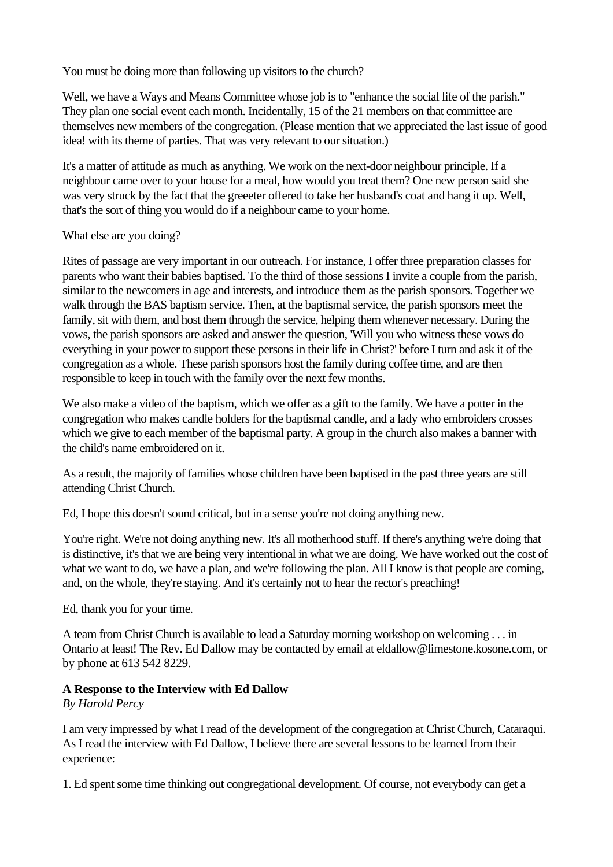You must be doing more than following up visitors to the church?

Well, we have a Ways and Means Committee whose job is to "enhance the social life of the parish." They plan one social event each month. Incidentally, 15 of the 21 members on that committee are themselves new members of the congregation. (Please mention that we appreciated the last issue of good idea! with its theme of parties. That was very relevant to our situation.)

It's a matter of attitude as much as anything. We work on the next-door neighbour principle. If a neighbour came over to your house for a meal, how would you treat them? One new person said she was very struck by the fact that the greeeter offered to take her husband's coat and hang it up. Well, that's the sort of thing you would do if a neighbour came to your home.

## What else are you doing?

Rites of passage are very important in our outreach. For instance, I offer three preparation classes for parents who want their babies baptised. To the third of those sessions I invite a couple from the parish, similar to the newcomers in age and interests, and introduce them as the parish sponsors. Together we walk through the BAS baptism service. Then, at the baptismal service, the parish sponsors meet the family, sit with them, and host them through the service, helping them whenever necessary. During the vows, the parish sponsors are asked and answer the question, 'Will you who witness these vows do everything in your power to support these persons in their life in Christ?' before I turn and ask it of the congregation as a whole. These parish sponsors host the family during coffee time, and are then responsible to keep in touch with the family over the next few months.

We also make a video of the baptism, which we offer as a gift to the family. We have a potter in the congregation who makes candle holders for the baptismal candle, and a lady who embroiders crosses which we give to each member of the baptismal party. A group in the church also makes a banner with the child's name embroidered on it.

As a result, the majority of families whose children have been baptised in the past three years are still attending Christ Church.

Ed, I hope this doesn't sound critical, but in a sense you're not doing anything new.

You're right. We're not doing anything new. It's all motherhood stuff. If there's anything we're doing that is distinctive, it's that we are being very intentional in what we are doing. We have worked out the cost of what we want to do, we have a plan, and we're following the plan. All I know is that people are coming, and, on the whole, they're staying. And it's certainly not to hear the rector's preaching!

Ed, thank you for your time.

A team from Christ Church is available to lead a Saturday morning workshop on welcoming . . . in Ontario at least! The Rev. Ed Dallow may be contacted by email at eldallow@limestone.kosone.com, or by phone at 613 542 8229.

# **A Response to the Interview with Ed Dallow**

*By Harold Percy*

I am very impressed by what I read of the development of the congregation at Christ Church, Cataraqui. As I read the interview with Ed Dallow, I believe there are several lessons to be learned from their experience:

1. Ed spent some time thinking out congregational development. Of course, not everybody can get a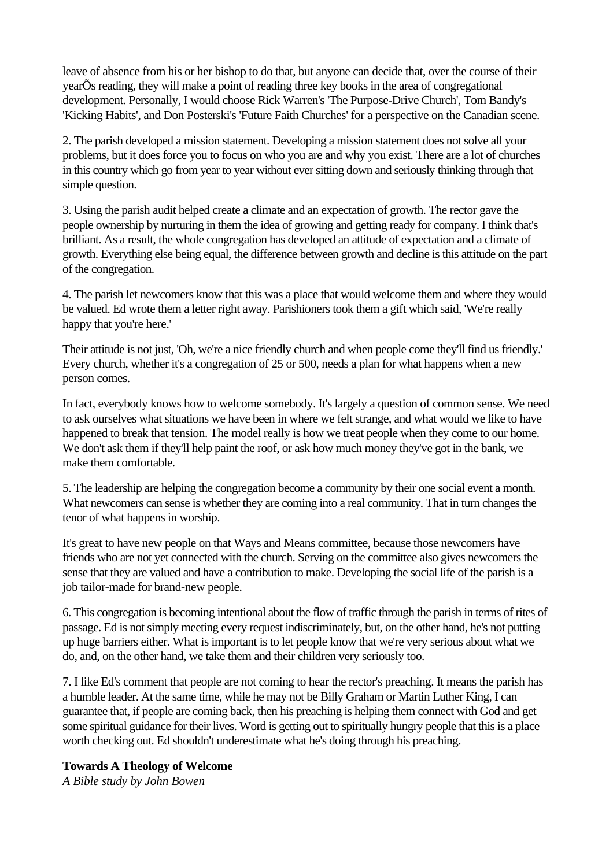leave of absence from his or her bishop to do that, but anyone can decide that, over the course of their yearÕs reading, they will make a point of reading three key books in the area of congregational development. Personally, I would choose Rick Warren's 'The Purpose-Drive Church', Tom Bandy's 'Kicking Habits', and Don Posterski's 'Future Faith Churches' for a perspective on the Canadian scene.

2. The parish developed a mission statement. Developing a mission statement does not solve all your problems, but it does force you to focus on who you are and why you exist. There are a lot of churches in this country which go from year to year without ever sitting down and seriously thinking through that simple question.

3. Using the parish audit helped create a climate and an expectation of growth. The rector gave the people ownership by nurturing in them the idea of growing and getting ready for company. I think that's brilliant. As a result, the whole congregation has developed an attitude of expectation and a climate of growth. Everything else being equal, the difference between growth and decline is this attitude on the part of the congregation.

4. The parish let newcomers know that this was a place that would welcome them and where they would be valued. Ed wrote them a letter right away. Parishioners took them a gift which said, 'We're really happy that you're here.'

Their attitude is not just, 'Oh, we're a nice friendly church and when people come they'll find us friendly.' Every church, whether it's a congregation of 25 or 500, needs a plan for what happens when a new person comes.

In fact, everybody knows how to welcome somebody. It's largely a question of common sense. We need to ask ourselves what situations we have been in where we felt strange, and what would we like to have happened to break that tension. The model really is how we treat people when they come to our home. We don't ask them if they'll help paint the roof, or ask how much money they've got in the bank, we make them comfortable.

5. The leadership are helping the congregation become a community by their one social event a month. What newcomers can sense is whether they are coming into a real community. That in turn changes the tenor of what happens in worship.

It's great to have new people on that Ways and Means committee, because those newcomers have friends who are not yet connected with the church. Serving on the committee also gives newcomers the sense that they are valued and have a contribution to make. Developing the social life of the parish is a job tailor-made for brand-new people.

6. This congregation is becoming intentional about the flow of traffic through the parish in terms of rites of passage. Ed is not simply meeting every request indiscriminately, but, on the other hand, he's not putting up huge barriers either. What is important is to let people know that we're very serious about what we do, and, on the other hand, we take them and their children very seriously too.

7. I like Ed's comment that people are not coming to hear the rector's preaching. It means the parish has a humble leader. At the same time, while he may not be Billy Graham or Martin Luther King, I can guarantee that, if people are coming back, then his preaching is helping them connect with God and get some spiritual guidance for their lives. Word is getting out to spiritually hungry people that this is a place worth checking out. Ed shouldn't underestimate what he's doing through his preaching.

#### **Towards A Theology of Welcome**

*A Bible study by John Bowen*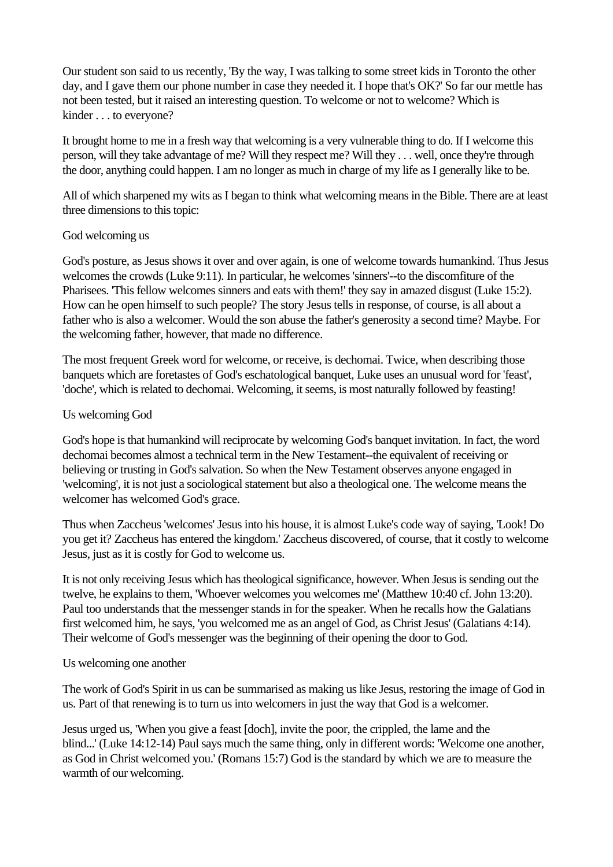Our student son said to us recently, 'By the way, I was talking to some street kids in Toronto the other day, and I gave them our phone number in case they needed it. I hope that's OK?' So far our mettle has not been tested, but it raised an interesting question. To welcome or not to welcome? Which is kinder . . . to everyone?

It brought home to me in a fresh way that welcoming is a very vulnerable thing to do. If I welcome this person, will they take advantage of me? Will they respect me? Will they . . . well, once they're through the door, anything could happen. I am no longer as much in charge of my life as I generally like to be.

All of which sharpened my wits as I began to think what welcoming means in the Bible. There are at least three dimensions to this topic:

## God welcoming us

God's posture, as Jesus shows it over and over again, is one of welcome towards humankind. Thus Jesus welcomes the crowds (Luke 9:11). In particular, he welcomes 'sinners'--to the discomfiture of the Pharisees. 'This fellow welcomes sinners and eats with them!' they say in amazed disgust (Luke 15:2). How can he open himself to such people? The story Jesus tells in response, of course, is all about a father who is also a welcomer. Would the son abuse the father's generosity a second time? Maybe. For the welcoming father, however, that made no difference.

The most frequent Greek word for welcome, or receive, is dechomai. Twice, when describing those banquets which are foretastes of God's eschatological banquet, Luke uses an unusual word for 'feast', 'doche', which is related to dechomai. Welcoming, it seems, is most naturally followed by feasting!

## Us welcoming God

God's hope is that humankind will reciprocate by welcoming God's banquet invitation. In fact, the word dechomai becomes almost a technical term in the New Testament--the equivalent of receiving or believing or trusting in God's salvation. So when the New Testament observes anyone engaged in 'welcoming', it is not just a sociological statement but also a theological one. The welcome means the welcomer has welcomed God's grace.

Thus when Zaccheus 'welcomes' Jesus into his house, it is almost Luke's code way of saying, 'Look! Do you get it? Zaccheus has entered the kingdom.' Zaccheus discovered, of course, that it costly to welcome Jesus, just as it is costly for God to welcome us.

It is not only receiving Jesus which has theological significance, however. When Jesus is sending out the twelve, he explains to them, 'Whoever welcomes you welcomes me' (Matthew 10:40 cf. John 13:20). Paul too understands that the messenger stands in for the speaker. When he recalls how the Galatians first welcomed him, he says, 'you welcomed me as an angel of God, as Christ Jesus' (Galatians 4:14). Their welcome of God's messenger was the beginning of their opening the door to God.

#### Us welcoming one another

The work of God's Spirit in us can be summarised as making us like Jesus, restoring the image of God in us. Part of that renewing is to turn us into welcomers in just the way that God is a welcomer.

Jesus urged us, 'When you give a feast [doch], invite the poor, the crippled, the lame and the blind...' (Luke 14:12-14) Paul says much the same thing, only in different words: 'Welcome one another, as God in Christ welcomed you.' (Romans 15:7) God is the standard by which we are to measure the warmth of our welcoming.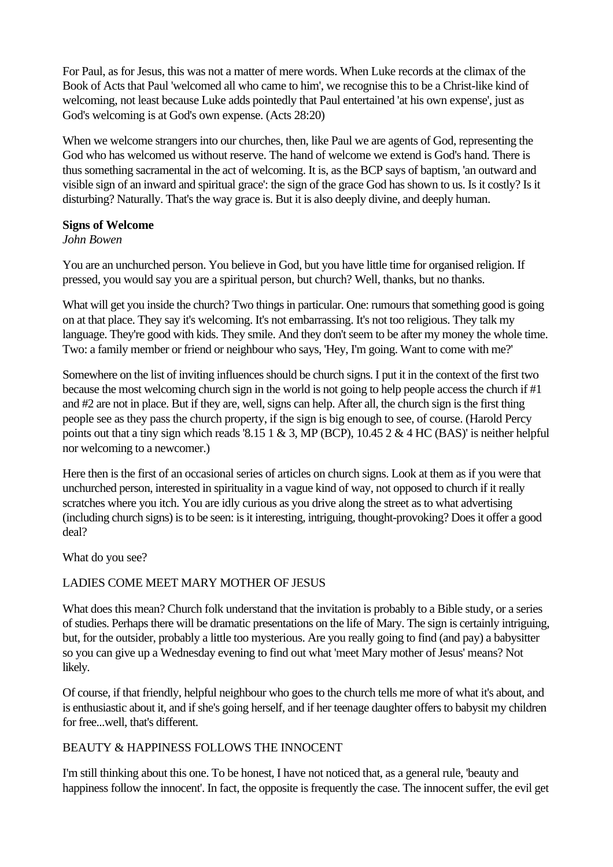For Paul, as for Jesus, this was not a matter of mere words. When Luke records at the climax of the Book of Acts that Paul 'welcomed all who came to him', we recognise this to be a Christ-like kind of welcoming, not least because Luke adds pointedly that Paul entertained 'at his own expense', just as God's welcoming is at God's own expense. (Acts 28:20)

When we welcome strangers into our churches, then, like Paul we are agents of God, representing the God who has welcomed us without reserve. The hand of welcome we extend is God's hand. There is thus something sacramental in the act of welcoming. It is, as the BCP says of baptism, 'an outward and visible sign of an inward and spiritual grace': the sign of the grace God has shown to us. Is it costly? Is it disturbing? Naturally. That's the way grace is. But it is also deeply divine, and deeply human.

## **Signs of Welcome**

## *John Bowen*

You are an unchurched person. You believe in God, but you have little time for organised religion. If pressed, you would say you are a spiritual person, but church? Well, thanks, but no thanks.

What will get you inside the church? Two things in particular. One: rumours that something good is going on at that place. They say it's welcoming. It's not embarrassing. It's not too religious. They talk my language. They're good with kids. They smile. And they don't seem to be after my money the whole time. Two: a family member or friend or neighbour who says, 'Hey, I'm going. Want to come with me?'

Somewhere on the list of inviting influences should be church signs. I put it in the context of the first two because the most welcoming church sign in the world is not going to help people access the church if #1 and #2 are not in place. But if they are, well, signs can help. After all, the church sign is the first thing people see as they pass the church property, if the sign is big enough to see, of course. (Harold Percy points out that a tiny sign which reads '8.15 1  $\&$  3, MP (BCP), 10.45 2  $\&$  4 HC (BAS)' is neither helpful nor welcoming to a newcomer.)

Here then is the first of an occasional series of articles on church signs. Look at them as if you were that unchurched person, interested in spirituality in a vague kind of way, not opposed to church if it really scratches where you itch. You are idly curious as you drive along the street as to what advertising (including church signs) is to be seen: is it interesting, intriguing, thought-provoking? Does it offer a good deal?

What do you see?

# LADIES COME MEET MARY MOTHER OF JESUS

What does this mean? Church folk understand that the invitation is probably to a Bible study, or a series of studies. Perhaps there will be dramatic presentations on the life of Mary. The sign is certainly intriguing, but, for the outsider, probably a little too mysterious. Are you really going to find (and pay) a babysitter so you can give up a Wednesday evening to find out what 'meet Mary mother of Jesus' means? Not likely.

Of course, if that friendly, helpful neighbour who goes to the church tells me more of what it's about, and is enthusiastic about it, and if she's going herself, and if her teenage daughter offers to babysit my children for free...well, that's different.

# BEAUTY & HAPPINESS FOLLOWS THE INNOCENT

I'm still thinking about this one. To be honest, I have not noticed that, as a general rule, 'beauty and happiness follow the innocent'. In fact, the opposite is frequently the case. The innocent suffer, the evil get